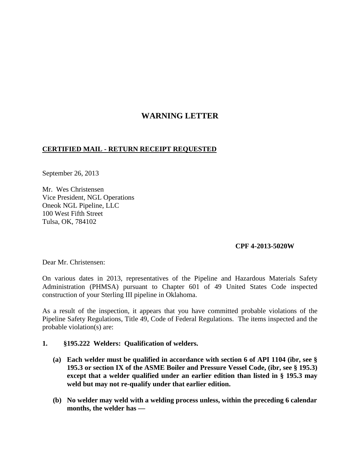# **WARNING LETTER**

# **CERTIFIED MAIL - RETURN RECEIPT REQUESTED**

September 26, 2013

Mr. Wes Christensen Vice President, NGL Operations Oneok NGL Pipeline, LLC 100 West Fifth Street Tulsa, OK, 784102

### **CPF 4-2013-5020W**

Dear Mr. Christensen:

On various dates in 2013, representatives of the Pipeline and Hazardous Materials Safety Administration (PHMSA) pursuant to Chapter 601 of 49 United States Code inspected construction of your Sterling III pipeline in Oklahoma.

As a result of the inspection, it appears that you have committed probable violations of the Pipeline Safety Regulations, Title 49, Code of Federal Regulations. The items inspected and the probable violation(s) are:

#### **1. §195.222 Welders: Qualification of welders.**

- **(a) Each welder must be qualified in accordance with section 6 of API 1104 (ibr, see § 195.3 or section IX of the ASME Boiler and Pressure Vessel Code, (ibr, see § 195.3) except that a welder qualified under an earlier edition than listed in § 195.3 may weld but may not re-qualify under that earlier edition.**
- **(b) No welder may weld with a welding process unless, within the preceding 6 calendar months, the welder has —**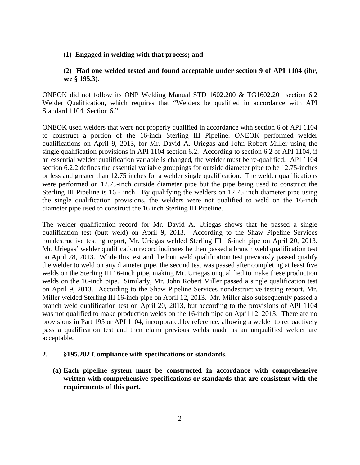#### **(1) Engaged in welding with that process; and**

# **(2) Had one welded tested and found acceptable under section 9 of API 1104 (ibr, see § 195.3).**

ONEOK did not follow its ONP Welding Manual STD 1602.200 & TG1602.201 section 6.2 Welder Qualification, which requires that "Welders be qualified in accordance with API Standard 1104, Section 6."

ONEOK used welders that were not properly qualified in accordance with section 6 of API 1104 to construct a portion of the 16-inch Sterling III Pipeline. ONEOK performed welder qualifications on April 9, 2013, for Mr. David A. Uriegas and John Robert Miller using the single qualification provisions in API 1104 section 6.2. According to section 6.2 of API 1104, if an essential welder qualification variable is changed, the welder must be re-qualified. API 1104 section 6.2.2 defines the essential variable groupings for outside diameter pipe to be 12.75-inches or less and greater than 12.75 inches for a welder single qualification. The welder qualifications were performed on 12.75-inch outside diameter pipe but the pipe being used to construct the Sterling III Pipeline is 16 - inch. By qualifying the welders on 12.75 inch diameter pipe using the single qualification provisions, the welders were not qualified to weld on the 16-inch diameter pipe used to construct the 16 inch Sterling III Pipeline.

The welder qualification record for Mr. David A. Uriegas shows that he passed a single qualification test (butt weld) on April 9, 2013. According to the Shaw Pipeline Services nondestructive testing report, Mr. Uriegas welded Sterling III 16-inch pipe on April 20, 2013. Mr. Uriegas' welder qualification record indicates he then passed a branch weld qualification test on April 28, 2013. While this test and the butt weld qualification test previously passed qualify the welder to weld on any diameter pipe, the second test was passed after completing at least five welds on the Sterling III 16-inch pipe, making Mr. Uriegas unqualified to make these production welds on the 16-inch pipe. Similarly, Mr. John Robert Miller passed a single qualification test on April 9, 2013. According to the Shaw Pipeline Services nondestructive testing report, Mr. Miller welded Sterling III 16-inch pipe on April 12, 2013. Mr. Miller also subsequently passed a branch weld qualification test on April 20, 2013, but according to the provisions of API 1104 was not qualified to make production welds on the 16-inch pipe on April 12, 2013. There are no provisions in Part 195 or API 1104, incorporated by reference, allowing a welder to retroactively pass a qualification test and then claim previous welds made as an unqualified welder are acceptable.

### **2. §195.202 Compliance with specifications or standards.**

**(a) Each pipeline system must be constructed in accordance with comprehensive written with comprehensive specifications or standards that are consistent with the requirements of this part.**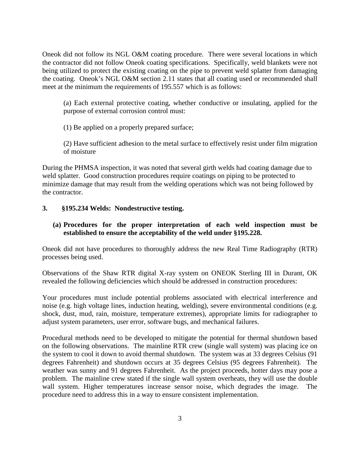Oneok did not follow its NGL O&M coating procedure. There were several locations in which the contractor did not follow Oneok coating specifications. Specifically, weld blankets were not being utilized to protect the existing coating on the pipe to prevent weld splatter from damaging the coating. Oneok's NGL O&M section 2.11 states that all coating used or recommended shall meet at the minimum the requirements of 195.557 which is as follows:

(a) Each external protective coating, whether conductive or insulating, applied for the purpose of external corrosion control must:

(1) Be applied on a properly prepared surface;

(2) Have sufficient adhesion to the metal surface to effectively resist under film migration of moisture

During the PHMSA inspection, it was noted that several girth welds had coating damage due to weld splatter. Good construction procedures require coatings on piping to be protected to minimize damage that may result from the welding operations which was not being followed by the contractor.

# **3. §195.234 Welds: Nondestructive testing.**

# **(a) Procedures for the proper interpretation of each weld inspection must be established to ensure the acceptability of the weld under §195.228.**

Oneok did not have procedures to thoroughly address the new Real Time Radiography (RTR) processes being used.

Observations of the Shaw RTR digital X-ray system on ONEOK Sterling III in Durant, OK revealed the following deficiencies which should be addressed in construction procedures:

Your procedures must include potential problems associated with electrical interference and noise (e.g. high voltage lines, induction heating, welding), severe environmental conditions (e.g. shock, dust, mud, rain, moisture, temperature extremes), appropriate limits for radiographer to adjust system parameters, user error, software bugs, and mechanical failures.

Procedural methods need to be developed to mitigate the potential for thermal shutdown based on the following observations. The mainline RTR crew (single wall system) was placing ice on the system to cool it down to avoid thermal shutdown. The system was at 33 degrees Celsius (91 degrees Fahrenheit) and shutdown occurs at 35 degrees Celsius (95 degrees Fahrenheit). The weather was sunny and 91 degrees Fahrenheit. As the project proceeds, hotter days may pose a problem. The mainline crew stated if the single wall system overheats, they will use the double wall system. Higher temperatures increase sensor noise, which degrades the image. The procedure need to address this in a way to ensure consistent implementation.